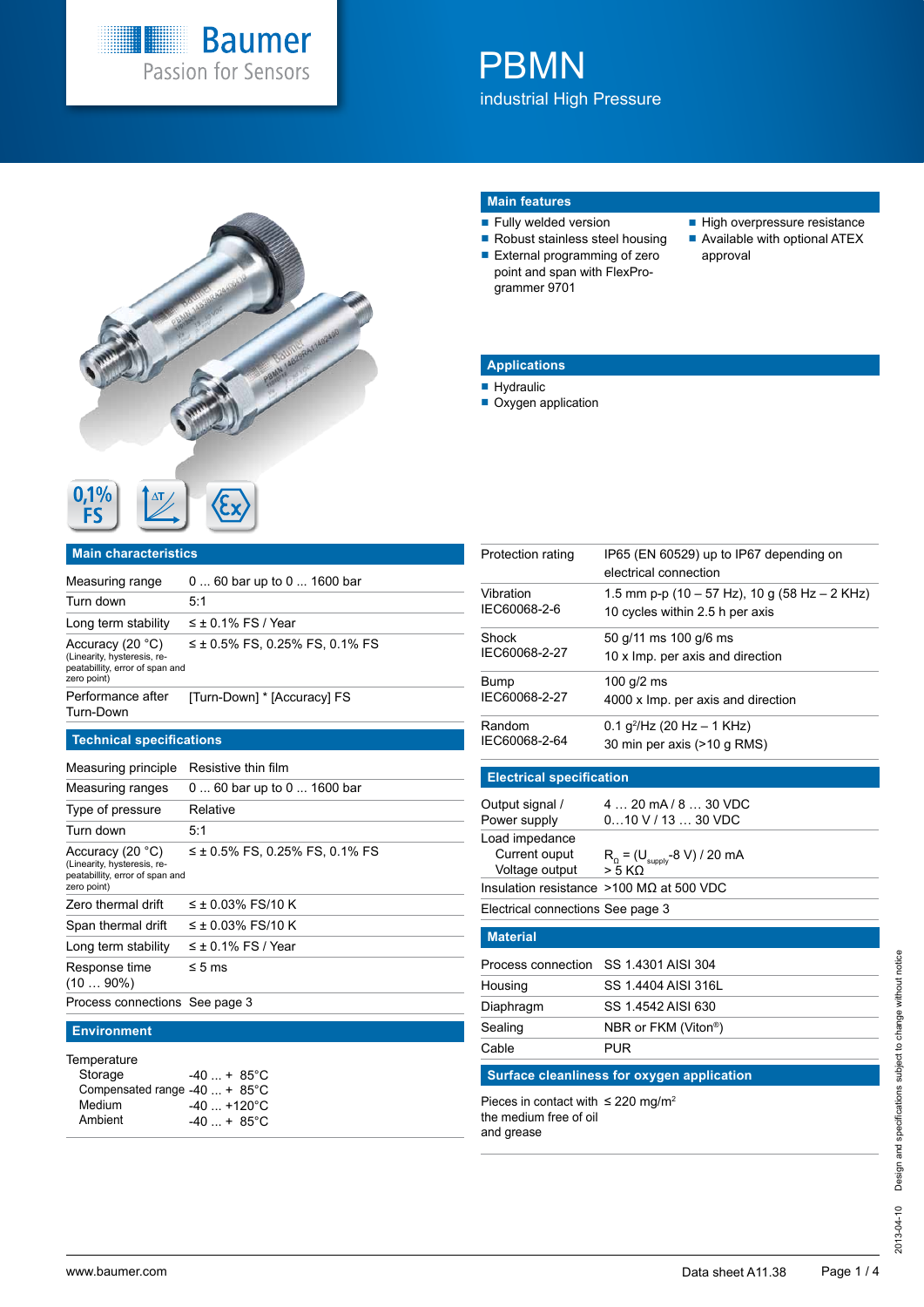

# **PBMN** industrial High Pressure



## **Main features**

- **Fully welded version**
- Robust stainless steel housing External programming of zero
- point and span with FlexProgrammer 9701
- High overpressure resistance
- Available with optional ATEX approval

## **Applications**

- **Hydraulic**
- Oxygen application

| U, I, 70 |     |
|----------|-----|
|          | CY7 |
|          |     |
|          |     |

## **Main characteristics**

| Measuring range                                                                                   | 0  60 bar up to 0  1600 bar         |
|---------------------------------------------------------------------------------------------------|-------------------------------------|
| Turn down                                                                                         | 5:1                                 |
| Long term stability                                                                               | $\leq \pm 0.1\%$ FS / Year          |
| Accuracy (20 °C)<br>(Linearity, hysteresis, re-<br>peatabillity, error of span and<br>zero point) | $\leq$ ± 0.5% FS, 0.25% FS, 0.1% FS |
| Performance after<br>Turn-Down                                                                    | [Turn-Down] * [Accuracy] FS         |

## **Technical specifications**

| Measuring principle                                                                                 | Resistive thin film                 |
|-----------------------------------------------------------------------------------------------------|-------------------------------------|
| Measuring ranges                                                                                    | 0  60 bar up to 0  1600 bar         |
| Type of pressure                                                                                    | Relative                            |
| Turn down                                                                                           | 5:1                                 |
| Accuracy $(20 °C)$<br>(Linearity, hysteresis, re-<br>peatabillity, error of span and<br>zero point) | $\leq$ ± 0.5% FS, 0.25% FS, 0.1% FS |
| Zero thermal drift                                                                                  | $\leq$ ± 0.03% FS/10 K              |
| Span thermal drift                                                                                  | $\leq$ ± 0.03% FS/10 K              |
| Long term stability                                                                                 | $\leq \pm 0.1\%$ FS / Year          |
| Response time<br>$(1090\%)$                                                                         | $\leq 5$ ms                         |
| Process connections See page 3                                                                      |                                     |

#### **Environment**

| Temperature                   |                         |
|-------------------------------|-------------------------|
| Storage                       | $-40$ $+ 85^{\circ}$ C  |
| Compensated range -40  + 85°C |                         |
| Medium                        | $-40$ +120 $^{\circ}$ C |
| Ambient                       | $-40$ $+ 85^{\circ}$ C  |

| Protection rating                                                                           | IP65 (EN 60529) up to IP67 depending on<br>electrical connection                 |  |  |  |  |  |  |  |  |
|---------------------------------------------------------------------------------------------|----------------------------------------------------------------------------------|--|--|--|--|--|--|--|--|
| Vibration<br>IEC60068-2-6                                                                   | 1.5 mm p-p (10 – 57 Hz), 10 g (58 Hz – 2 KHz)<br>10 cycles within 2.5 h per axis |  |  |  |  |  |  |  |  |
| Shock<br>IEC60068-2-27                                                                      | 50 g/11 ms 100 g/6 ms<br>10 x Imp. per axis and direction                        |  |  |  |  |  |  |  |  |
| Bump<br>IEC60068-2-27                                                                       | 100 g/2 ms<br>4000 x Imp. per axis and direction                                 |  |  |  |  |  |  |  |  |
| Random<br>IEC60068-2-64                                                                     | $0.1$ g <sup>2</sup> /Hz (20 Hz – 1 KHz)<br>30 min per axis (>10 g RMS)          |  |  |  |  |  |  |  |  |
| <b>Electrical specification</b>                                                             |                                                                                  |  |  |  |  |  |  |  |  |
| Output signal /<br>Power supply                                                             | 4  20 mA / 8  30 VDC<br>$010$ V / 13 $$ 30 VDC                                   |  |  |  |  |  |  |  |  |
| Load impedance<br>Current ouput<br>Voltage output                                           | $R_{\Omega}$ = (U <sub>supply</sub> -8 V) / 20 mA<br>$> 5$ KO                    |  |  |  |  |  |  |  |  |
|                                                                                             | Insulation resistance $>100$ M $\Omega$ at 500 VDC                               |  |  |  |  |  |  |  |  |
| Electrical connections See page 3                                                           |                                                                                  |  |  |  |  |  |  |  |  |
| <b>Material</b>                                                                             |                                                                                  |  |  |  |  |  |  |  |  |
| Process connection                                                                          | SS 1.4301 AISI 304                                                               |  |  |  |  |  |  |  |  |
| Housing                                                                                     | SS 1.4404 AISI 316L                                                              |  |  |  |  |  |  |  |  |
| Diaphragm                                                                                   | SS 1.4542 AISI 630                                                               |  |  |  |  |  |  |  |  |
| Sealing                                                                                     | NBR or FKM (Viton®)                                                              |  |  |  |  |  |  |  |  |
| Cable                                                                                       | <b>PUR</b>                                                                       |  |  |  |  |  |  |  |  |
|                                                                                             | <b>Surface cleanliness for oxygen application</b>                                |  |  |  |  |  |  |  |  |
| Pieces in contact with $\leq$ 220 mg/m <sup>2</sup><br>the medium free of oil<br>and grease |                                                                                  |  |  |  |  |  |  |  |  |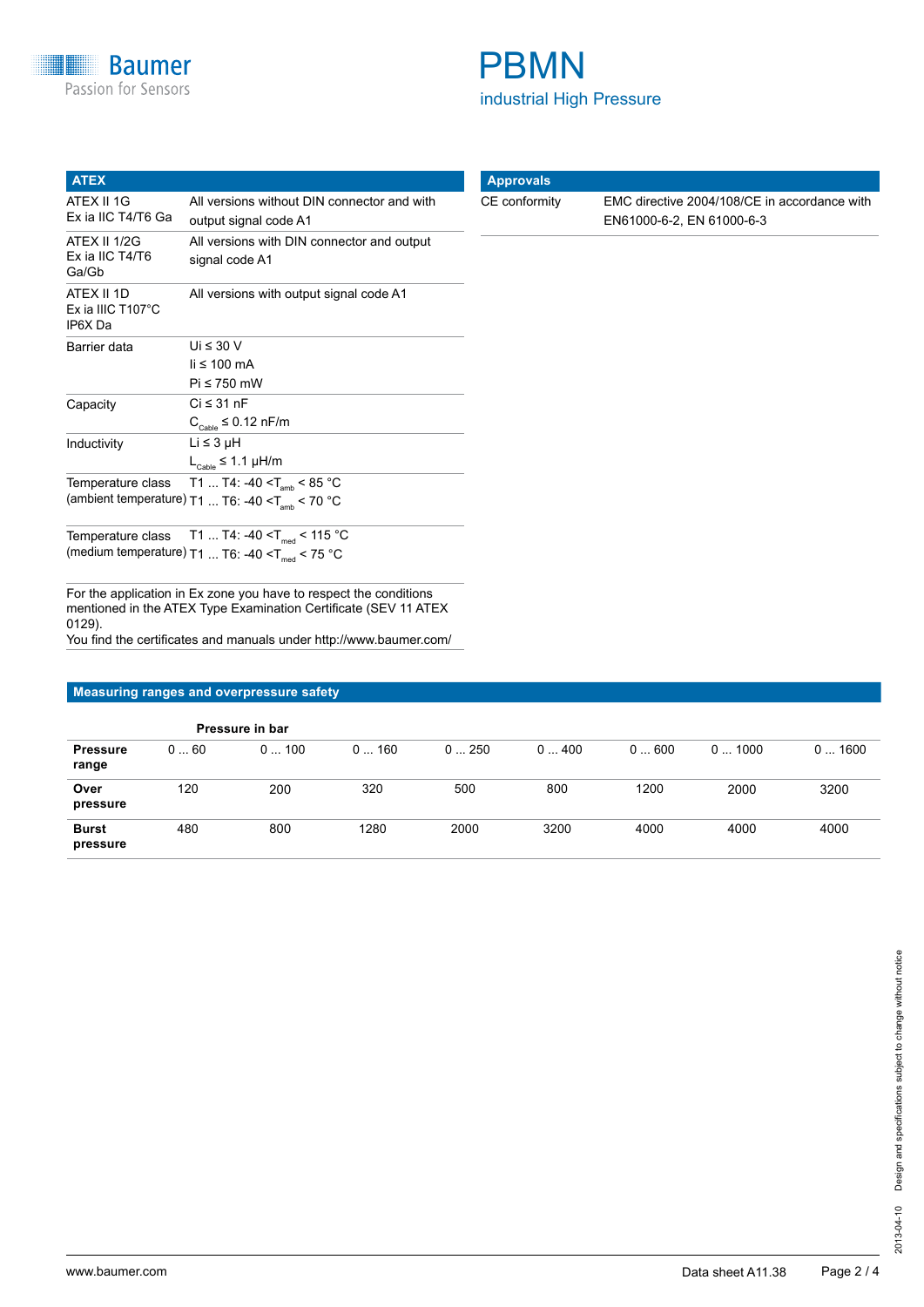| <b>ATEX</b>                                          |                                                                                                 |
|------------------------------------------------------|-------------------------------------------------------------------------------------------------|
| ATEX II 1G<br>Ex ia IIC T4/T6 Ga                     | All versions without DIN connector and with<br>output signal code A1                            |
| ATEX II 1/2G<br>Ex ia IIC T4/T6<br>Ga/Gb             | All versions with DIN connector and output<br>signal code A1                                    |
| ATEX II 1D<br>Ex ia IIIC $T107^{\circ}$ C<br>IP6X Da | All versions with output signal code A1                                                         |
| Barrier data                                         | Ui $\leq 30$ V<br>$\mathsf{li} \leq 100 \mathsf{mA}$<br>$Pi \leq 750$ mW                        |
| Capacity                                             | $Ci \leq 31$ nF<br>$C_{\text{Cable}} \leq 0.12 \text{ nF/m}$                                    |
| Inductivity                                          | Li ≤ 3 µH<br>$L_{\text{Cable}} \leq 1.1 \mu H/m$                                                |
| Temperature class                                    | T1  T4: -40 < $T_{amb}$ < 85 °C<br>(ambient temperature) T1  T6: -40 < T <sub>amb</sub> < 70 °C |

Temperature class  $\,$  T1 ... T4: -40 <T $_{\rm med}$  < 115  $^{\circ}$ C (medium temperature) T1 ... T6: -40 <Tmed < 75 °C

For the application in Ex zone you have to respect the conditions mentioned in the ATEX Type Examination Certificate (SEV 11 ATEX 0129). You find the certificates and manuals under http://www.baumer.com/

### **Measuring ranges and overpressure safety**

|                          |     | Pressure in bar |          |      |      |      |       |       |
|--------------------------|-----|-----------------|----------|------|------|------|-------|-------|
| <b>Pressure</b><br>range | 060 | 0100            | 160<br>0 | 0250 | 0400 | 0600 | 01000 | 01600 |
| Over<br>pressure         | 120 | 200             | 320      | 500  | 800  | 1200 | 2000  | 3200  |
| <b>Burst</b><br>pressure | 480 | 800             | 1280     | 2000 | 3200 | 4000 | 4000  | 4000  |



CE conformity EMC directive 2004/108/CE in accordance with EN61000-6-2, EN 61000-6-3

**Approvals**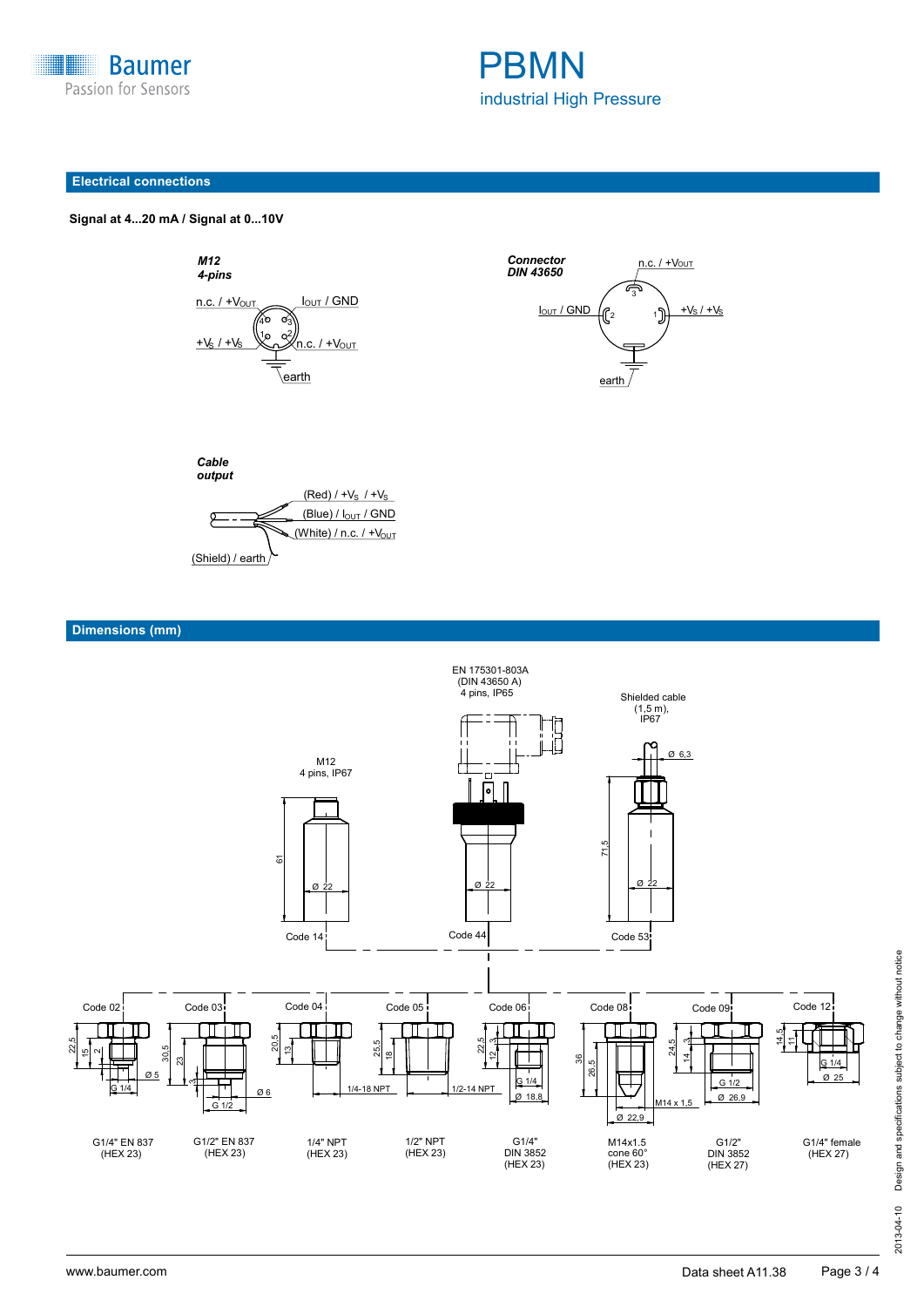



#### **Electrical connections**



*M12*

 **Signal at 4...20 mA / Signal at 0...10V Signal at 4...20 mA / Signal at 0...10 V**

*Cable output*



 $(Red) / +V_S / +V_S$